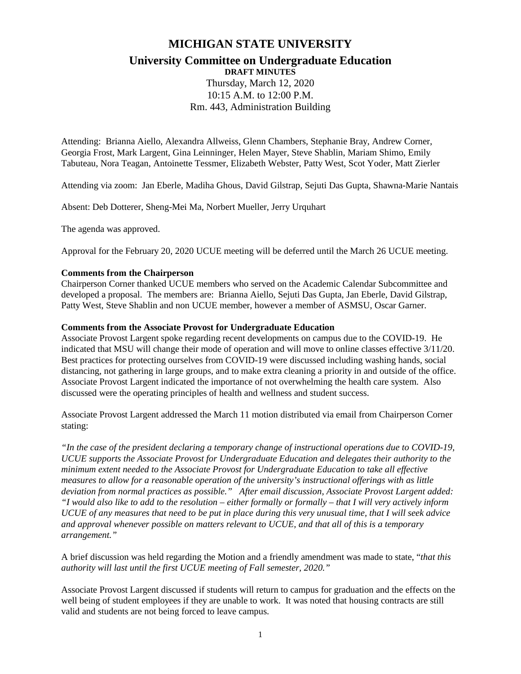# **MICHIGAN STATE UNIVERSITY**

# **University Committee on Undergraduate Education**

**DRAFT MINUTES**

Thursday, March 12, 2020 10:15 A.M. to 12:00 P.M. Rm. 443, Administration Building

Attending: Brianna Aiello, Alexandra Allweiss, Glenn Chambers, Stephanie Bray, Andrew Corner, Georgia Frost, Mark Largent, Gina Leinninger, Helen Mayer, Steve Shablin, Mariam Shimo, Emily Tabuteau, Nora Teagan, Antoinette Tessmer, Elizabeth Webster, Patty West, Scot Yoder, Matt Zierler

Attending via zoom: Jan Eberle, Madiha Ghous, David Gilstrap, Sejuti Das Gupta, Shawna-Marie Nantais

Absent: Deb Dotterer, Sheng-Mei Ma, Norbert Mueller, Jerry Urquhart

The agenda was approved.

Approval for the February 20, 2020 UCUE meeting will be deferred until the March 26 UCUE meeting.

### **Comments from the Chairperson**

Chairperson Corner thanked UCUE members who served on the Academic Calendar Subcommittee and developed a proposal. The members are: Brianna Aiello, Sejuti Das Gupta, Jan Eberle, David Gilstrap, Patty West, Steve Shablin and non UCUE member, however a member of ASMSU, Oscar Garner.

#### **Comments from the Associate Provost for Undergraduate Education**

Associate Provost Largent spoke regarding recent developments on campus due to the COVID-19. He indicated that MSU will change their mode of operation and will move to online classes effective 3/11/20. Best practices for protecting ourselves from COVID-19 were discussed including washing hands, social distancing, not gathering in large groups, and to make extra cleaning a priority in and outside of the office. Associate Provost Largent indicated the importance of not overwhelming the health care system. Also discussed were the operating principles of health and wellness and student success.

Associate Provost Largent addressed the March 11 motion distributed via email from Chairperson Corner stating:

*"In the case of the president declaring a temporary change of instructional operations due to COVID-19, UCUE supports the Associate Provost for Undergraduate Education and delegates their authority to the minimum extent needed to the Associate Provost for Undergraduate Education to take all effective measures to allow for a reasonable operation of the university's instructional offerings with as little deviation from normal practices as possible." After email discussion, Associate Provost Largent added: "I would also like to add to the resolution – either formally or formally – that I will very actively inform UCUE of any measures that need to be put in place during this very unusual time, that I will seek advice and approval whenever possible on matters relevant to UCUE, and that all of this is a temporary arrangement."*

A brief discussion was held regarding the Motion and a friendly amendment was made to state, "*that this authority will last until the first UCUE meeting of Fall semester, 2020."*

Associate Provost Largent discussed if students will return to campus for graduation and the effects on the well being of student employees if they are unable to work. It was noted that housing contracts are still valid and students are not being forced to leave campus.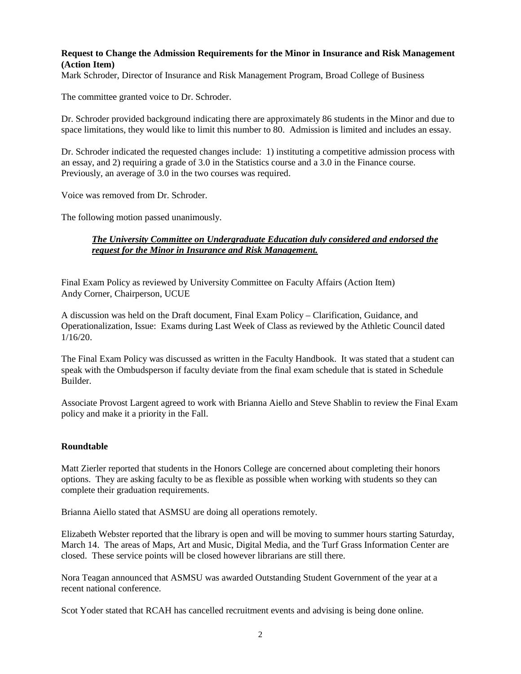## **Request to Change the Admission Requirements for the Minor in Insurance and Risk Management (Action Item)**

Mark Schroder, Director of Insurance and Risk Management Program, Broad College of Business

The committee granted voice to Dr. Schroder.

Dr. Schroder provided background indicating there are approximately 86 students in the Minor and due to space limitations, they would like to limit this number to 80. Admission is limited and includes an essay.

Dr. Schroder indicated the requested changes include: 1) instituting a competitive admission process with an essay, and 2) requiring a grade of 3.0 in the Statistics course and a 3.0 in the Finance course. Previously, an average of 3.0 in the two courses was required.

Voice was removed from Dr. Schroder.

The following motion passed unanimously.

## *The University Committee on Undergraduate Education duly considered and endorsed the request for the Minor in Insurance and Risk Management.*

Final Exam Policy as reviewed by University Committee on Faculty Affairs (Action Item) Andy Corner, Chairperson, UCUE

A discussion was held on the Draft document, Final Exam Policy – Clarification, Guidance, and Operationalization, Issue: Exams during Last Week of Class as reviewed by the Athletic Council dated 1/16/20.

The Final Exam Policy was discussed as written in the Faculty Handbook. It was stated that a student can speak with the Ombudsperson if faculty deviate from the final exam schedule that is stated in Schedule Builder.

Associate Provost Largent agreed to work with Brianna Aiello and Steve Shablin to review the Final Exam policy and make it a priority in the Fall.

## **Roundtable**

Matt Zierler reported that students in the Honors College are concerned about completing their honors options. They are asking faculty to be as flexible as possible when working with students so they can complete their graduation requirements.

Brianna Aiello stated that ASMSU are doing all operations remotely.

Elizabeth Webster reported that the library is open and will be moving to summer hours starting Saturday, March 14. The areas of Maps, Art and Music, Digital Media, and the Turf Grass Information Center are closed. These service points will be closed however librarians are still there.

Nora Teagan announced that ASMSU was awarded Outstanding Student Government of the year at a recent national conference.

Scot Yoder stated that RCAH has cancelled recruitment events and advising is being done online.